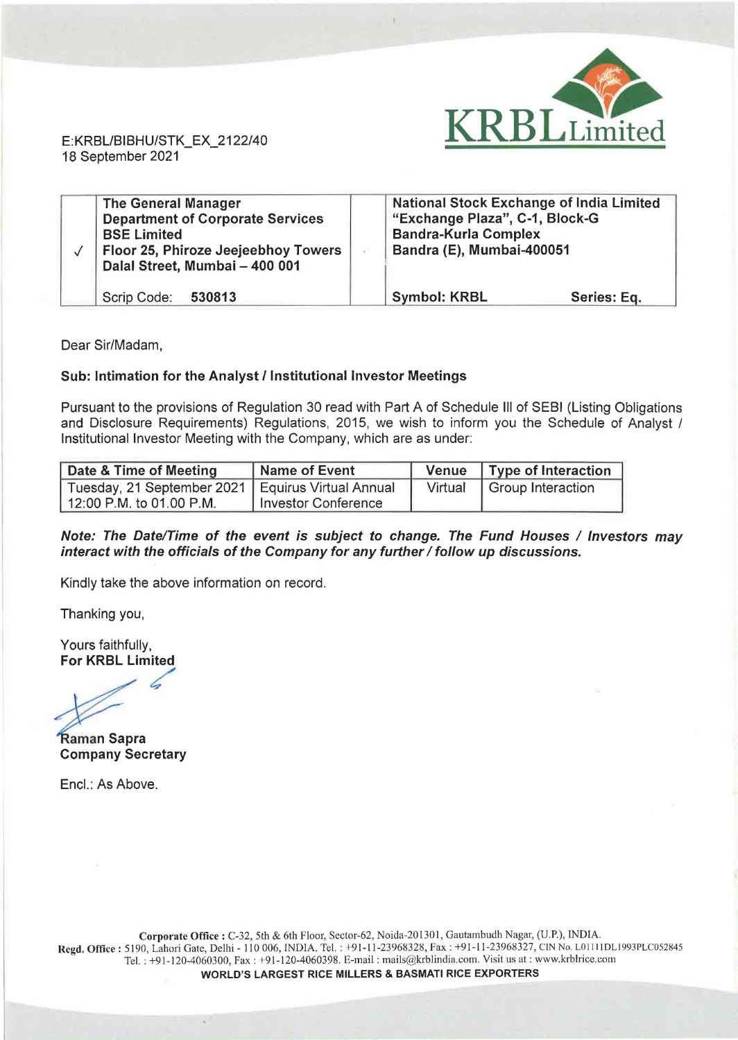

E: KRBL/BIBHU/STK\_EX\_2122/40 18 September 2021

| <b>The General Manager</b><br><b>Department of Corporate Services</b><br><b>BSE Limited</b><br>Floor 25, Phiroze Jeejeebhoy Towers<br>Dalal Street, Mumbai - 400 001 | <b>National Stock Exchange of India Limited</b><br>"Exchange Plaza", C-1, Block-G<br><b>Bandra-Kurla Complex</b><br>Bandra (E), Mumbai-400051 |             |
|----------------------------------------------------------------------------------------------------------------------------------------------------------------------|-----------------------------------------------------------------------------------------------------------------------------------------------|-------------|
| Scrip Code: 530813                                                                                                                                                   | <b>Symbol: KRBL</b>                                                                                                                           | Series: Eq. |

Dear Sir/Madam,

## Sub: Intimation for the Analyst/ Institutional Investor Meetings

Pursuant to the provisions of Regulation 30 read with Part A of Schedule Ill of SEBI (Listing Obligations and Disclosure Requirements) Regulations, 2015, we wish to inform you the Schedule of Analyst / Institutional Investor Meeting with the Company, which are as under:

| Date & Time of Meeting                              | Name of Event       | Venue   Type of Interaction |
|-----------------------------------------------------|---------------------|-----------------------------|
| Tuesday, 21 September 2021   Equirus Virtual Annual |                     | Virtual   Group Interaction |
| 12:00 P.M. to 01.00 P.M.                            | Investor Conference |                             |

## Note: The Date/Time of the event is subject to change. The Fund Houses / Investors may interact with the officials of the Company for any further / follow up discussions.

Kindly take the above information on record.

Thanking you,

Yours faithfully, For KRBL Limited

 $\sqrt{2}$ <br>a

Company Secretary

Encl.: As Above.